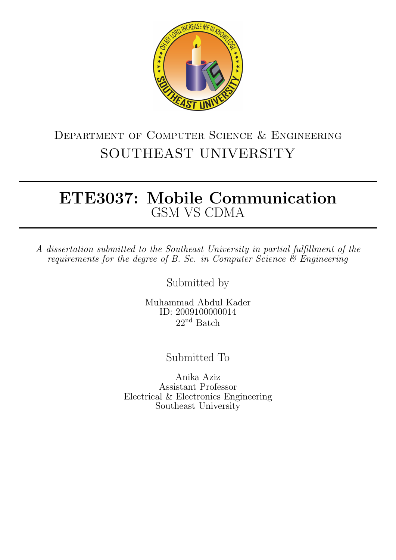

### Department of Computer Science & Engineering SOUTHEAST UNIVERSITY

### ETE3037: Mobile Communication GSM VS CDMA

A dissertation submitted to the Southeast University in partial fulfillment of the requirements for the degree of B. Sc. in Computer Science  $\mathcal{\mathcal{E}}$  Engineering

Submitted by

Muhammad Abdul Kader ID: 2009100000014  $22<sup>nd</sup>$  Batch

Submitted To

Anika Aziz Assistant Professor Electrical & Electronics Engineering Southeast University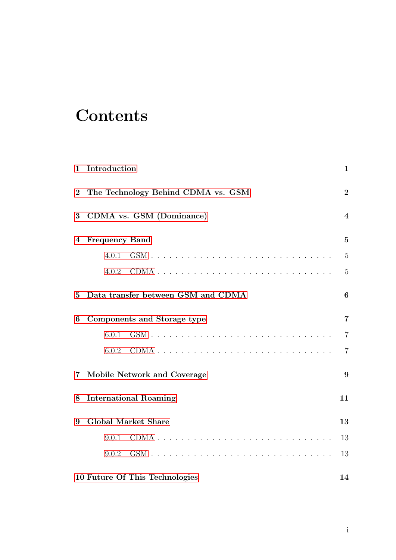# **Contents**

| 1              | Introduction                       | 1                |
|----------------|------------------------------------|------------------|
| $\overline{2}$ | The Technology Behind CDMA vs. GSM | $\boldsymbol{2}$ |
| 3              | CDMA vs. GSM (Dominance)           | $\boldsymbol{4}$ |
| 4              | <b>Frequency Band</b>              | $\overline{5}$   |
|                | 4.0.1                              | $\overline{5}$   |
|                | 4.0.2                              | $\overline{5}$   |
| $\bf{5}$       | Data transfer between GSM and CDMA | 6                |
| 6              | Components and Storage type        | $\overline{7}$   |
|                | 6.0.1                              | $\overline{7}$   |
|                | 6.0.2                              | $\overline{7}$   |
| $\overline{7}$ | Mobile Network and Coverage        | 9                |
| 8              | <b>International Roaming</b>       | 11               |
| 9              | <b>Global Market Share</b>         | 13               |
|                | 9.0.1                              | 13               |
|                | 9.0.2                              | 13               |
|                | 10 Future Of This Technologies     | 14               |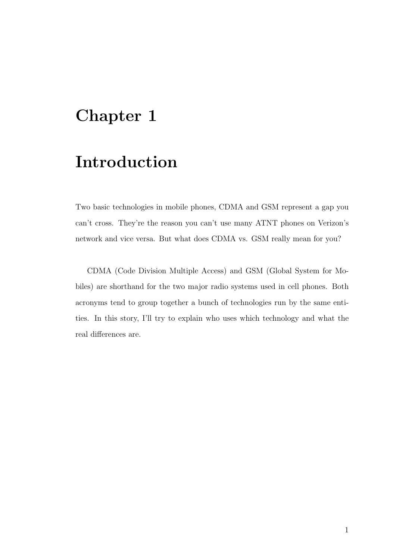### <span id="page-2-0"></span>Introduction

Two basic technologies in mobile phones, CDMA and GSM represent a gap you can't cross. They're the reason you can't use many ATNT phones on Verizon's network and vice versa. But what does CDMA vs. GSM really mean for you?

CDMA (Code Division Multiple Access) and GSM (Global System for Mobiles) are shorthand for the two major radio systems used in cell phones. Both acronyms tend to group together a bunch of technologies run by the same entities. In this story, I'll try to explain who uses which technology and what the real differences are.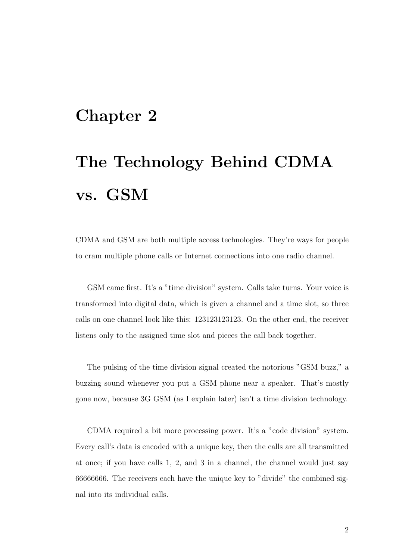# <span id="page-3-0"></span>The Technology Behind CDMA vs. GSM

CDMA and GSM are both multiple access technologies. They're ways for people to cram multiple phone calls or Internet connections into one radio channel.

GSM came first. It's a "time division" system. Calls take turns. Your voice is transformed into digital data, which is given a channel and a time slot, so three calls on one channel look like this: 123123123123. On the other end, the receiver listens only to the assigned time slot and pieces the call back together.

The pulsing of the time division signal created the notorious "GSM buzz," a buzzing sound whenever you put a GSM phone near a speaker. That's mostly gone now, because 3G GSM (as I explain later) isn't a time division technology.

CDMA required a bit more processing power. It's a "code division" system. Every call's data is encoded with a unique key, then the calls are all transmitted at once; if you have calls 1, 2, and 3 in a channel, the channel would just say 66666666. The receivers each have the unique key to "divide" the combined signal into its individual calls.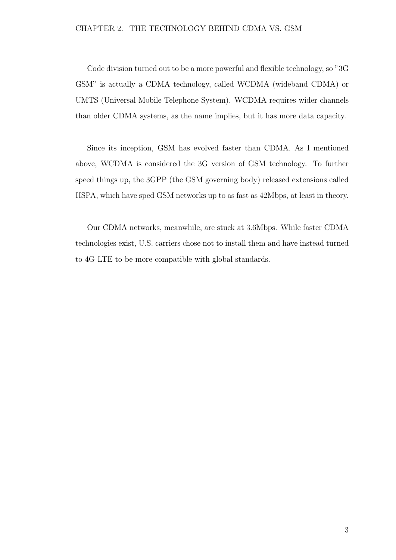#### CHAPTER 2. THE TECHNOLOGY BEHIND CDMA VS. GSM

Code division turned out to be a more powerful and flexible technology, so "3G GSM" is actually a CDMA technology, called WCDMA (wideband CDMA) or UMTS (Universal Mobile Telephone System). WCDMA requires wider channels than older CDMA systems, as the name implies, but it has more data capacity.

Since its inception, GSM has evolved faster than CDMA. As I mentioned above, WCDMA is considered the 3G version of GSM technology. To further speed things up, the 3GPP (the GSM governing body) released extensions called HSPA, which have sped GSM networks up to as fast as 42Mbps, at least in theory.

Our CDMA networks, meanwhile, are stuck at 3.6Mbps. While faster CDMA technologies exist, U.S. carriers chose not to install them and have instead turned to 4G LTE to be more compatible with global standards.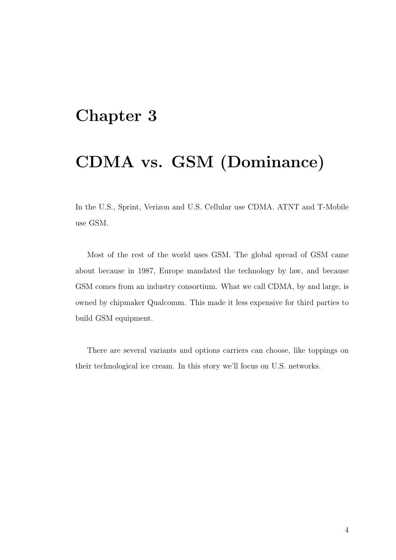### <span id="page-5-0"></span>CDMA vs. GSM (Dominance)

In the U.S., Sprint, Verizon and U.S. Cellular use CDMA. ATNT and T-Mobile use GSM.

Most of the rest of the world uses GSM. The global spread of GSM came about because in 1987, Europe mandated the technology by law, and because GSM comes from an industry consortium. What we call CDMA, by and large, is owned by chipmaker Qualcomm. This made it less expensive for third parties to build GSM equipment.

There are several variants and options carriers can choose, like toppings on their technological ice cream. In this story we'll focus on U.S. networks.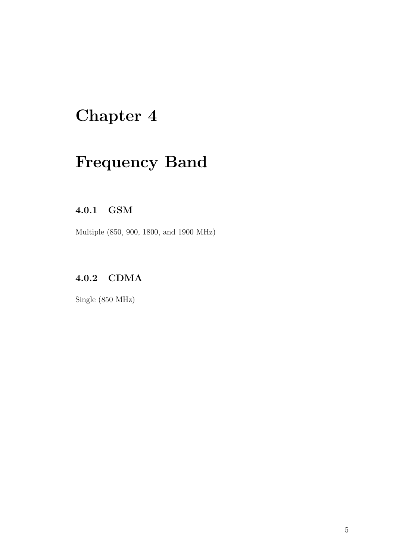# <span id="page-6-0"></span>Frequency Band

#### <span id="page-6-1"></span>4.0.1 GSM

Multiple (850, 900, 1800, and 1900 MHz)

#### <span id="page-6-2"></span>4.0.2 CDMA

Single (850 MHz)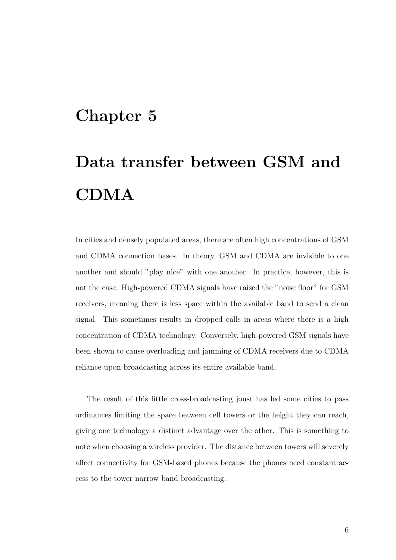# <span id="page-7-0"></span>Data transfer between GSM and CDMA

In cities and densely populated areas, there are often high concentrations of GSM and CDMA connection bases. In theory, GSM and CDMA are invisible to one another and should "play nice" with one another. In practice, however, this is not the case. High-powered CDMA signals have raised the "noise floor" for GSM receivers, meaning there is less space within the available band to send a clean signal. This sometimes results in dropped calls in areas where there is a high concentration of CDMA technology. Conversely, high-powered GSM signals have been shown to cause overloading and jamming of CDMA receivers due to CDMA reliance upon broadcasting across its entire available band.

The result of this little cross-broadcasting joust has led some cities to pass ordinances limiting the space between cell towers or the height they can reach, giving one technology a distinct advantage over the other. This is something to note when choosing a wireless provider. The distance between towers will severely affect connectivity for GSM-based phones because the phones need constant access to the tower narrow band broadcasting.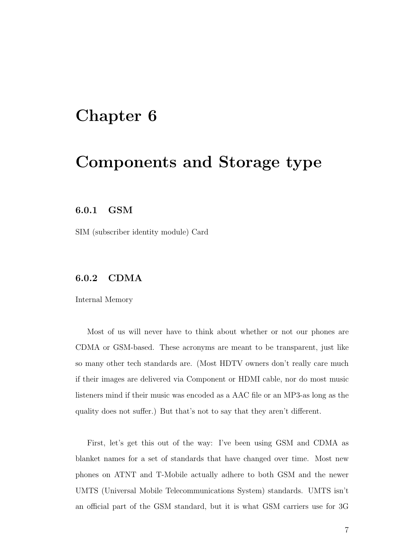#### <span id="page-8-0"></span>Components and Storage type

#### <span id="page-8-1"></span>6.0.1 GSM

SIM (subscriber identity module) Card

#### <span id="page-8-2"></span>6.0.2 CDMA

Internal Memory

Most of us will never have to think about whether or not our phones are CDMA or GSM-based. These acronyms are meant to be transparent, just like so many other tech standards are. (Most HDTV owners don't really care much if their images are delivered via Component or HDMI cable, nor do most music listeners mind if their music was encoded as a AAC file or an MP3-as long as the quality does not suffer.) But that's not to say that they aren't different.

First, let's get this out of the way: I've been using GSM and CDMA as blanket names for a set of standards that have changed over time. Most new phones on ATNT and T-Mobile actually adhere to both GSM and the newer UMTS (Universal Mobile Telecommunications System) standards. UMTS isn't an official part of the GSM standard, but it is what GSM carriers use for 3G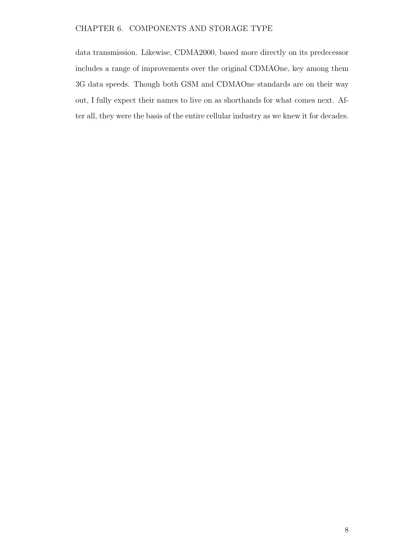#### CHAPTER 6. COMPONENTS AND STORAGE TYPE

data transmission. Likewise, CDMA2000, based more directly on its predecessor includes a range of improvements over the original CDMAOne, key among them 3G data speeds. Though both GSM and CDMAOne standards are on their way out, I fully expect their names to live on as shorthands for what comes next. After all, they were the basis of the entire cellular industry as we knew it for decades.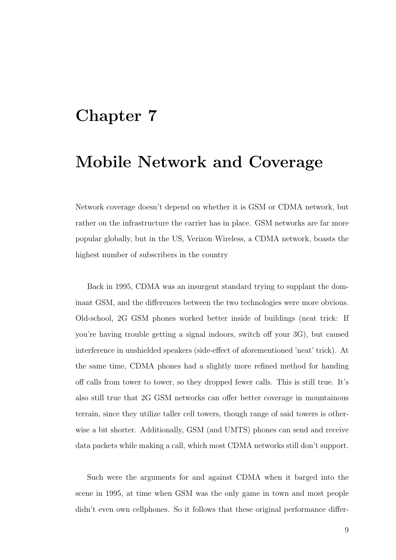#### <span id="page-10-0"></span>Mobile Network and Coverage

Network coverage doesn't depend on whether it is GSM or CDMA network, but rather on the infrastructure the carrier has in place. GSM networks are far more popular globally, but in the US, Verizon Wireless, a CDMA network, boasts the highest number of subscribers in the country

Back in 1995, CDMA was an insurgent standard trying to supplant the dominant GSM, and the differences between the two technologies were more obvious. Old-school, 2G GSM phones worked better inside of buildings (neat trick: If you're having trouble getting a signal indoors, switch off your 3G), but caused interference in unshielded speakers (side-effect of aforementioned 'neat' trick). At the same time, CDMA phones had a slightly more refined method for handing off calls from tower to tower, so they dropped fewer calls. This is still true. It's also still true that 2G GSM networks can offer better coverage in mountainous terrain, since they utilize taller cell towers, though range of said towers is otherwise a bit shorter. Additionally, GSM (and UMTS) phones can send and receive data packets while making a call, which most CDMA networks still don't support.

Such were the arguments for and against CDMA when it barged into the scene in 1995, at time when GSM was the only game in town and most people didn't even own cellphones. So it follows that these original performance differ-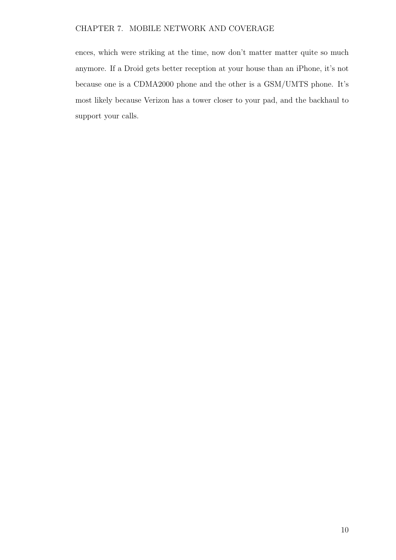#### CHAPTER 7. MOBILE NETWORK AND COVERAGE

ences, which were striking at the time, now don't matter matter quite so much anymore. If a Droid gets better reception at your house than an iPhone, it's not because one is a CDMA2000 phone and the other is a GSM/UMTS phone. It's most likely because Verizon has a tower closer to your pad, and the backhaul to support your calls.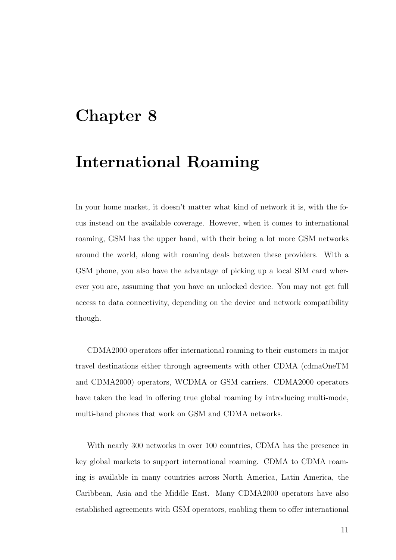#### <span id="page-12-0"></span>International Roaming

In your home market, it doesn't matter what kind of network it is, with the focus instead on the available coverage. However, when it comes to international roaming, GSM has the upper hand, with their being a lot more GSM networks around the world, along with roaming deals between these providers. With a GSM phone, you also have the advantage of picking up a local SIM card wherever you are, assuming that you have an unlocked device. You may not get full access to data connectivity, depending on the device and network compatibility though.

CDMA2000 operators offer international roaming to their customers in major travel destinations either through agreements with other CDMA (cdmaOneTM and CDMA2000) operators, WCDMA or GSM carriers. CDMA2000 operators have taken the lead in offering true global roaming by introducing multi-mode, multi-band phones that work on GSM and CDMA networks.

With nearly 300 networks in over 100 countries, CDMA has the presence in key global markets to support international roaming. CDMA to CDMA roaming is available in many countries across North America, Latin America, the Caribbean, Asia and the Middle East. Many CDMA2000 operators have also established agreements with GSM operators, enabling them to offer international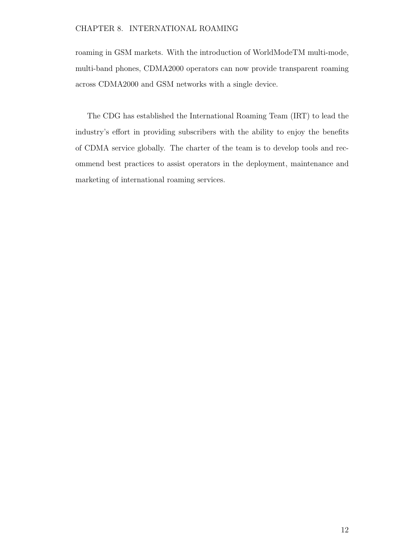#### CHAPTER 8. INTERNATIONAL ROAMING

roaming in GSM markets. With the introduction of WorldModeTM multi-mode, multi-band phones, CDMA2000 operators can now provide transparent roaming across CDMA2000 and GSM networks with a single device.

The CDG has established the International Roaming Team (IRT) to lead the industry's effort in providing subscribers with the ability to enjoy the benefits of CDMA service globally. The charter of the team is to develop tools and recommend best practices to assist operators in the deployment, maintenance and marketing of international roaming services.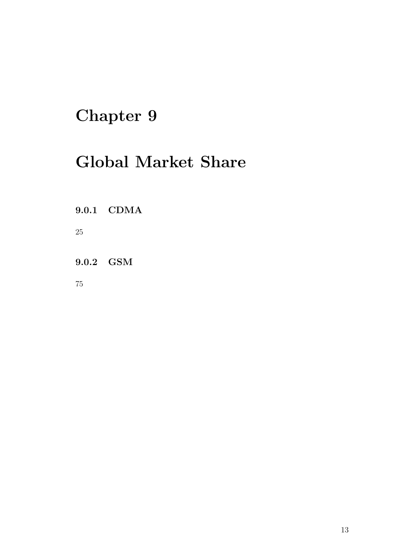## <span id="page-14-0"></span>Global Market Share

<span id="page-14-1"></span>9.0.1 CDMA

25

<span id="page-14-2"></span>9.0.2 GSM

75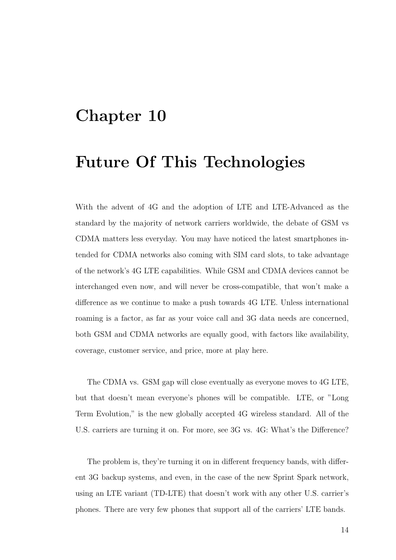### <span id="page-15-0"></span>Future Of This Technologies

With the advent of 4G and the adoption of LTE and LTE-Advanced as the standard by the majority of network carriers worldwide, the debate of GSM vs CDMA matters less everyday. You may have noticed the latest smartphones intended for CDMA networks also coming with SIM card slots, to take advantage of the network's 4G LTE capabilities. While GSM and CDMA devices cannot be interchanged even now, and will never be cross-compatible, that won't make a difference as we continue to make a push towards 4G LTE. Unless international roaming is a factor, as far as your voice call and 3G data needs are concerned, both GSM and CDMA networks are equally good, with factors like availability, coverage, customer service, and price, more at play here.

The CDMA vs. GSM gap will close eventually as everyone moves to 4G LTE, but that doesn't mean everyone's phones will be compatible. LTE, or "Long Term Evolution," is the new globally accepted 4G wireless standard. All of the U.S. carriers are turning it on. For more, see 3G vs. 4G: What's the Difference?

The problem is, they're turning it on in different frequency bands, with different 3G backup systems, and even, in the case of the new Sprint Spark network, using an LTE variant (TD-LTE) that doesn't work with any other U.S. carrier's phones. There are very few phones that support all of the carriers' LTE bands.